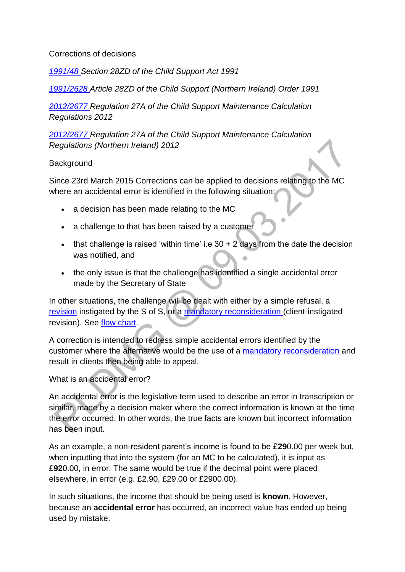## Corrections of decisions

*[1991/48 S](http://www.legislation.gov.uk/ukpga/1991/48)ection 28ZD of the Child Support Act 1991*

*[1991/2628 A](http://www.legislation.gov.uk/nisi/1991/2628/contents)rticle 28ZD of the Child Support (Northern Ireland) Order 1991*

*[2012/2677 R](http://www.legislation.gov.uk/uksi/2012/2677)egulation 27A of the Child Support Maintenance Calculation Regulations 2012*

*[2012/2677 R](http://www.legislation.gov.uk/uksi/2012/2677)egulation 27A of the Child Support Maintenance Calculation Regulations (Northern Ireland) 2012*

### **Background**

Since 23rd March 2015 Corrections can be applied to decisions relating to the MC where an accidental error is identified in the following situation:

- a decision has been made relating to the MC
- a challenge to that has been raised by a customer
- that challenge is raised 'within time' i.e  $30 + 2$  days from the date the decision was notified, and
- the only issue is that the challenge has identified a single accidental error made by the Secretary of State

In other situations, the challenge will be dealt with either by a simple refusal, a [revision](http://np-cmg-sharepoint.link2.gpn.gov.uk/sites/policy-law-and-decision-making-guidance/Pages/Revisions/Revisions.aspx) instigated by the S of S, or a [mandatory reconsideration \(](http://np-cmg-sharepoint.link2.gpn.gov.uk/sites/policy-law-and-decision-making-guidance/Pages/Mandatory-Reconsideration.aspx)client-instigated revision). See [flow chart.](http://np-cmg-sharepoint.link2.gpn.gov.uk/sites/policy-law-and-decision-making-guidance/Pages/Revisiting-decisions-flowchart.aspx)

A correction is intended to redress simple accidental errors identified by the customer where the alternative would be the use of a [mandatory reconsideration a](http://np-cmg-sharepoint.link2.gpn.gov.uk/sites/policy-law-and-decision-making-guidance/Pages/Mandatory-Reconsideration.aspx)nd result in clients then being able to appeal.

## What is an accidental error?

An accidental error is the legislative term used to describe an error in transcription or similar, made by a decision maker where the correct information is known at the time the error occurred. In other words, the true facts are known but incorrect information has been input.

As an example, a non-resident parent's income is found to be £**29**0.00 per week but, when inputting that into the system (for an MC to be calculated), it is input as £**92**0.00, in error. The same would be true if the decimal point were placed elsewhere, in error (e.g. £2.90, £29.00 or £2900.00).

In such situations, the income that should be being used is **known**. However, because an **accidental error** has occurred, an incorrect value has ended up being used by mistake.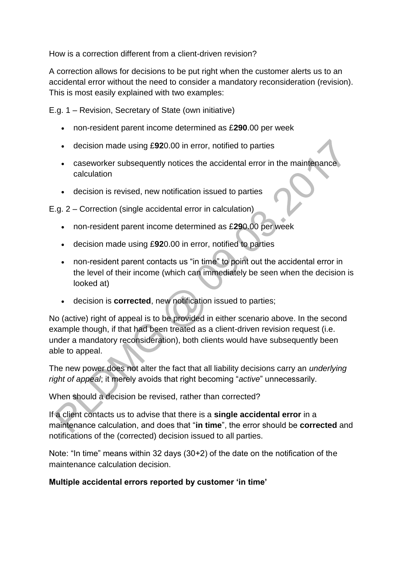How is a correction different from a client-driven revision?

A correction allows for decisions to be put right when the customer alerts us to an accidental error without the need to consider a mandatory reconsideration (revision). This is most easily explained with two examples:

E.g. 1 – Revision, Secretary of State (own initiative)

- non-resident parent income determined as £**290**.00 per week
- decision made using £**92**0.00 in error, notified to parties
- caseworker subsequently notices the accidental error in the maintenance. calculation
- decision is revised, new notification issued to parties

E.g. 2 – Correction (single accidental error in calculation)

- non-resident parent income determined as £**29**0.00 per week
- decision made using £**92**0.00 in error, notified to parties
- non-resident parent contacts us "in time" to point out the accidental error in the level of their income (which can immediately be seen when the decision is looked at)
- decision is **corrected**, new notification issued to parties;

No (active) right of appeal is to be provided in either scenario above. In the second example though, if that had been treated as a client-driven revision request (i.e. under a mandatory reconsideration), both clients would have subsequently been able to appeal.

The new power does not alter the fact that all liability decisions carry an *underlying right of appeal*; it merely avoids that right becoming "*active*" unnecessarily.

When should a decision be revised, rather than corrected?

If a client contacts us to advise that there is a **single accidental error** in a maintenance calculation, and does that "**in time**", the error should be **corrected** and notifications of the (corrected) decision issued to all parties.

Note: "In time" means within 32 days (30+2) of the date on the notification of the maintenance calculation decision.

#### **Multiple accidental errors reported by customer 'in time'**